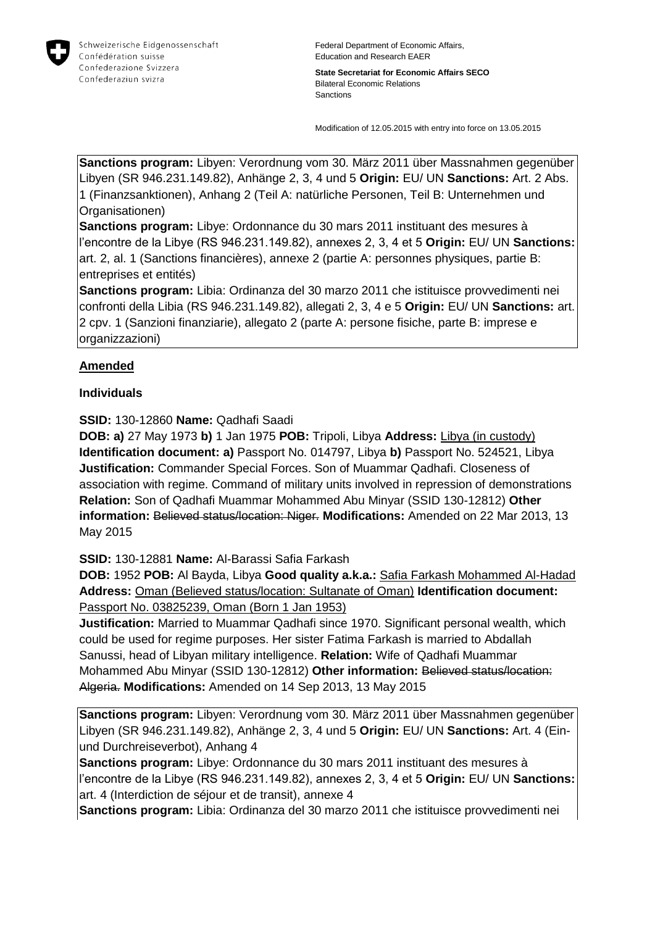

Federal Department of Economic Affairs, Education and Research EAER

**State Secretariat for Economic Affairs SECO** Bilateral Economic Relations Sanctions

Modification of 12.05.2015 with entry into force on 13.05.2015

**Sanctions program:** Libyen: Verordnung vom 30. März 2011 über Massnahmen gegenüber Libyen (SR 946.231.149.82), Anhänge 2, 3, 4 und 5 **Origin:** EU/ UN **Sanctions:** Art. 2 Abs. 1 (Finanzsanktionen), Anhang 2 (Teil A: natürliche Personen, Teil B: Unternehmen und Organisationen)

**Sanctions program:** Libye: Ordonnance du 30 mars 2011 instituant des mesures à l'encontre de la Libye (RS 946.231.149.82), annexes 2, 3, 4 et 5 **Origin:** EU/ UN **Sanctions:** art. 2, al. 1 (Sanctions financières), annexe 2 (partie A: personnes physiques, partie B: entreprises et entités)

**Sanctions program:** Libia: Ordinanza del 30 marzo 2011 che istituisce provvedimenti nei confronti della Libia (RS 946.231.149.82), allegati 2, 3, 4 e 5 **Origin:** EU/ UN **Sanctions:** art. 2 cpv. 1 (Sanzioni finanziarie), allegato 2 (parte A: persone fisiche, parte B: imprese e organizzazioni)

#### **Amended**

#### **Individuals**

**SSID:** 130-12860 **Name:** Qadhafi Saadi

**DOB: a)** 27 May 1973 **b)** 1 Jan 1975 **POB:** Tripoli, Libya **Address:** Libya (in custody) **Identification document: a)** Passport No. 014797, Libya **b)** Passport No. 524521, Libya **Justification:** Commander Special Forces. Son of Muammar Qadhafi. Closeness of association with regime. Command of military units involved in repression of demonstrations **Relation:** Son of Qadhafi Muammar Mohammed Abu Minyar (SSID 130-12812) **Other information:** Believed status/location: Niger. **Modifications:** Amended on 22 Mar 2013, 13 May 2015

**SSID:** 130-12881 **Name:** Al-Barassi Safia Farkash

**DOB:** 1952 **POB:** Al Bayda, Libya **Good quality a.k.a.:** Safia Farkash Mohammed Al-Hadad **Address:** Oman (Believed status/location: Sultanate of Oman) **Identification document:** Passport No. 03825239, Oman (Born 1 Jan 1953)

**Justification:** Married to Muammar Qadhafi since 1970. Significant personal wealth, which could be used for regime purposes. Her sister Fatima Farkash is married to Abdallah Sanussi, head of Libyan military intelligence. **Relation:** Wife of Qadhafi Muammar Mohammed Abu Minyar (SSID 130-12812) **Other information:** Believed status/location: Algeria. **Modifications:** Amended on 14 Sep 2013, 13 May 2015

**Sanctions program:** Libyen: Verordnung vom 30. März 2011 über Massnahmen gegenüber Libyen (SR 946.231.149.82), Anhänge 2, 3, 4 und 5 **Origin:** EU/ UN **Sanctions:** Art. 4 (Einund Durchreiseverbot), Anhang 4

**Sanctions program:** Libye: Ordonnance du 30 mars 2011 instituant des mesures à l'encontre de la Libye (RS 946.231.149.82), annexes 2, 3, 4 et 5 **Origin:** EU/ UN **Sanctions:** art. 4 (Interdiction de séjour et de transit), annexe 4

**Sanctions program:** Libia: Ordinanza del 30 marzo 2011 che istituisce provvedimenti nei